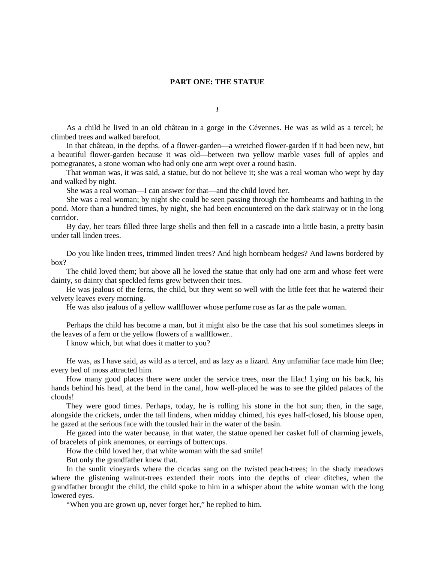## **PART ONE: THE STATUE**

*I*

As a child he lived in an old château in a gorge in the Cévennes. He was as wild as a tercel; he climbed trees and walked barefoot.

In that château, in the depths. of a flower-garden—a wretched flower-garden if it had been new, but a beautiful flower-garden because it was old—between two yellow marble vases full of apples and pomegranates, a stone woman who had only one arm wept over a round basin.

That woman was, it was said, a statue, but do not believe it; she was a real woman who wept by day and walked by night.

She was a real woman—I can answer for that—and the child loved her.

She was a real woman; by night she could be seen passing through the hornbeams and bathing in the pond. More than a hundred times, by night, she had been encountered on the dark stairway or in the long corridor.

By day, her tears filled three large shells and then fell in a cascade into a little basin, a pretty basin under tall linden trees.

Do you like linden trees, trimmed linden trees? And high hornbeam hedges? And lawns bordered by box?

The child loved them; but above all he loved the statue that only had one arm and whose feet were dainty, so dainty that speckled ferns grew between their toes.

He was jealous of the ferns, the child, but they went so well with the little feet that he watered their velvety leaves every morning.

He was also jealous of a yellow wallflower whose perfume rose as far as the pale woman.

Perhaps the child has become a man, but it might also be the case that his soul sometimes sleeps in the leaves of a fern or the yellow flowers of a wallflower..

I know which, but what does it matter to you?

He was, as I have said, as wild as a tercel, and as lazy as a lizard. Any unfamiliar face made him flee; every bed of moss attracted him.

How many good places there were under the service trees, near the lilac! Lying on his back, his hands behind his head, at the bend in the canal, how well-placed he was to see the gilded palaces of the clouds!

They were good times. Perhaps, today, he is rolling his stone in the hot sun; then, in the sage, alongside the crickets, under the tall lindens, when midday chimed, his eyes half-closed, his blouse open, he gazed at the serious face with the tousled hair in the water of the basin.

He gazed into the water because, in that water, the statue opened her casket full of charming jewels, of bracelets of pink anemones, or earrings of buttercups.

How the child loved her, that white woman with the sad smile!

But only the grandfather knew that.

In the sunlit vineyards where the cicadas sang on the twisted peach-trees; in the shady meadows where the glistening walnut-trees extended their roots into the depths of clear ditches, when the grandfather brought the child, the child spoke to him in a whisper about the white woman with the long lowered eyes.

"When you are grown up, never forget her," he replied to him.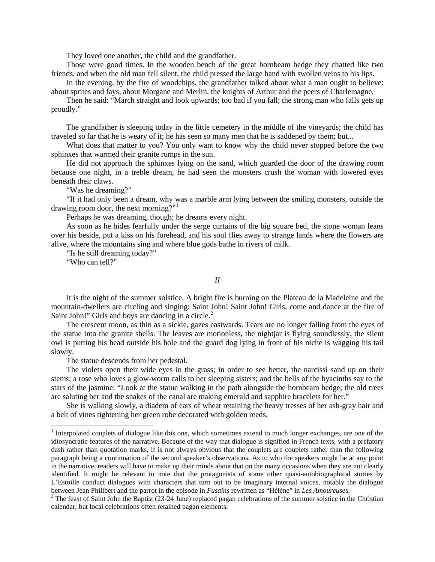They loved one another, the child and the grandfather.

Those were good times. In the wooden bench of the great hornbeam hedge they chatted like two friends, and when the old man fell silent, the child pressed the large hand with swollen veins to his lips.

In the evening, by the fire of woodchips, the grandfather talked about what a man ought to believe: about sprites and fays, about Morgane and Merlin, the knights of Arthur and the peers of Charlemagne.

Then he said: "March straight and look upwards; too bad if you fall; the strong man who falls gets up proudly."

The grandfather is sleeping today in the little cemetery in the middle of the vineyards; the child has traveled so far that he is weary of it; he has seen so many men that he is saddened by them; but...

What does that matter to you? You only want to know why the child never stopped before the two sphinxes that warmed their granite rumps in the sun.

He did not approach the sphinxes lying on the sand, which guarded the door of the drawing room because one night, in a treble dream, he had seen the monsters crush the woman with lowered eyes beneath their claws.

"Was he dreaming?"

"If it had only been a dream, why was a marble arm lying between the smiling monsters, outside the drawing room door, the next morning?"<sup>[1](#page-1-0)</sup>

Perhaps he was dreaming, though; he dreams every night.

As soon as he hides fearfully under the serge curtains of the big square bed, the stone woman leans over his beside, put a kiss on his forehead, and his soul flies away to strange lands where the flowers are alive, where the mountains sing and where blue gods bathe in rivers of milk.

"Is he still dreaming today?"

"Who can tell?"

## *II*

It is the night of the summer solstice. A bright fire is burning on the Plateau de la Madeleine and the mountain-dwellers are circling and singing: Saint John! Saint John! Girls, come and dance at the fire of Saint John!" Girls and boys are dancing in a circle.<sup>[2](#page-1-1)</sup>

The crescent moon, as thin as a sickle, gazes eastwards. Tears are no longer falling from the eyes of the statue into the granite shells. The leaves are motionless, the nightjar is flying soundlessly, the silent owl is putting his head outside his hole and the guard dog lying in front of his niche is wagging his tail slowly.

The statue descends from her pedestal.

The violets open their wide eyes in the grass; in order to see better, the narcissi sand up on their stems; a rose who loves a glow-worm calls to her sleeping sisters; and the bells of the hyacinths say to the stars of the jasmine: "Look at the statue walking in the path alongside the hornbeam hedge; the old trees are saluting her and the snakes of the canal are making emerald and sapphire bracelets for her."

She is walking slowly, a diadem of ears of wheat retaining the heavy tresses of her ash-gray hair and a belt of vines tightening her green robe decorated with golden reeds.

<span id="page-1-0"></span> $1$  Interpolated couplets of dialogue like this one, which sometimes extend to much longer exchanges, are one of the idiosyncratic features of the narrative. Because of the way that dialogue is signified in French texts, with a prefatory dash rather than quotation marks, if is not always obvious that the couplets are couplets rather than the following paragraph being a continuation of the second speaker's observations. As to who the speakers might be at any point in the narrative, readers will have to make up their minds about that on the many occasions when they are not clearly identified. It might be relevant to note that the protagonists of some other quasi-autobiographical stories by L'Estoille conduct dialogues with characters that turn out to be imaginary internal voices, notably the dialogue between Jean Philibert and the parrot in the episode in *Fusains* rewritten as "Hélène" in *Les Amoureuses*.<br><sup>2</sup> The feast of Saint John the Baptist (23-24 June) replaced pagan celebrations of the summer solstice in the Ch

<span id="page-1-1"></span>calendar, but local celebrations often retained pagan elements.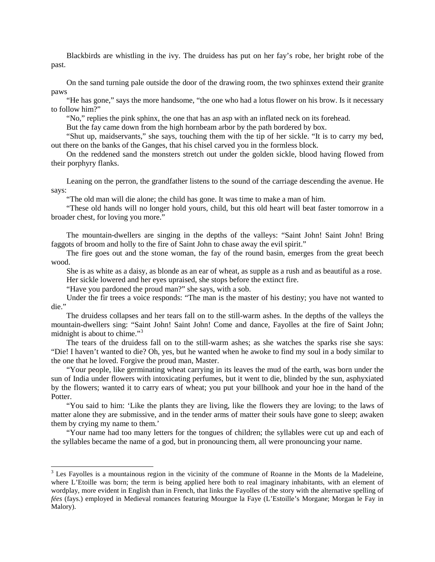Blackbirds are whistling in the ivy. The druidess has put on her fay's robe, her bright robe of the past.

On the sand turning pale outside the door of the drawing room, the two sphinxes extend their granite paws

"He has gone," says the more handsome, "the one who had a lotus flower on his brow. Is it necessary to follow him?"

"No," replies the pink sphinx, the one that has an asp with an inflated neck on its forehead.

But the fay came down from the high hornbeam arbor by the path bordered by box.

"Shut up, maidservants," she says, touching them with the tip of her sickle. "It is to carry my bed, out there on the banks of the Ganges, that his chisel carved you in the formless block.

On the reddened sand the monsters stretch out under the golden sickle, blood having flowed from their porphyry flanks.

Leaning on the perron, the grandfather listens to the sound of the carriage descending the avenue. He says:

"The old man will die alone; the child has gone. It was time to make a man of him.

"These old hands will no longer hold yours, child, but this old heart will beat faster tomorrow in a broader chest, for loving you more."

The mountain-dwellers are singing in the depths of the valleys: "Saint John! Saint John! Bring faggots of broom and holly to the fire of Saint John to chase away the evil spirit."

The fire goes out and the stone woman, the fay of the round basin, emerges from the great beech wood.

She is as white as a daisy, as blonde as an ear of wheat, as supple as a rush and as beautiful as a rose. Her sickle lowered and her eyes upraised, she stops before the extinct fire.

"Have you pardoned the proud man?" she says, with a sob.

Under the fir trees a voice responds: "The man is the master of his destiny; you have not wanted to die."

The druidess collapses and her tears fall on to the still-warm ashes. In the depths of the valleys the mountain-dwellers sing: "Saint John! Saint John! Come and dance, Fayolles at the fire of Saint John; midnight is about to chime."<sup>[3](#page-2-0)</sup>

The tears of the druidess fall on to the still-warm ashes; as she watches the sparks rise she says: "Die! I haven't wanted to die? Oh, yes, but he wanted when he awoke to find my soul in a body similar to the one that he loved. Forgive the proud man, Master.

"Your people, like germinating wheat carrying in its leaves the mud of the earth, was born under the sun of India under flowers with intoxicating perfumes, but it went to die, blinded by the sun, asphyxiated by the flowers; wanted it to carry ears of wheat; you put your billhook and your hoe in the hand of the Potter.

"You said to him: 'Like the plants they are living, like the flowers they are loving; to the laws of matter alone they are submissive, and in the tender arms of matter their souls have gone to sleep; awaken them by crying my name to them.'

"Your name had too many letters for the tongues of children; the syllables were cut up and each of the syllables became the name of a god, but in pronouncing them, all were pronouncing your name.

<span id="page-2-0"></span><sup>&</sup>lt;sup>3</sup> Les Fayolles is a mountainous region in the vicinity of the commune of Roanne in the Monts de la Madeleine, where L'Etoille was born; the term is being applied here both to real imaginary inhabitants, with an element of wordplay, more evident in English than in French, that links the Fayolles of the story with the alternative spelling of *fées* (fays.) employed in Medieval romances featuring Mourgue la Faye (L'Estoille's Morgane; Morgan le Fay in Malory).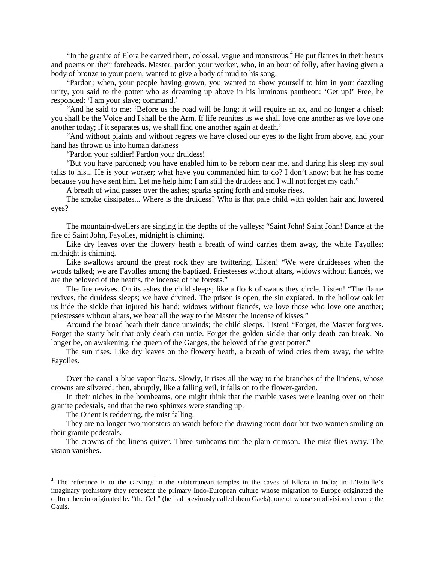"In the granite of Elora he carved them, colossal, vague and monstrous.<sup>[4](#page-3-0)</sup> He put flames in their hearts and poems on their foreheads. Master, pardon your worker, who, in an hour of folly, after having given a body of bronze to your poem, wanted to give a body of mud to his song.

"Pardon; when, your people having grown, you wanted to show yourself to him in your dazzling unity, you said to the potter who as dreaming up above in his luminous pantheon: 'Get up!' Free, he responded: 'I am your slave; command.'

"And he said to me: 'Before us the road will be long; it will require an ax, and no longer a chisel; you shall be the Voice and I shall be the Arm. If life reunites us we shall love one another as we love one another today; if it separates us, we shall find one another again at death.'

"And without plaints and without regrets we have closed our eyes to the light from above, and your hand has thrown us into human darkness

"Pardon your soldier! Pardon your druidess!

"But you have pardoned; you have enabled him to be reborn near me, and during his sleep my soul talks to his... He is your worker; what have you commanded him to do? I don't know; but he has come because you have sent him. Let me help him; I am still the druidess and I will not forget my oath."

A breath of wind passes over the ashes; sparks spring forth and smoke rises.

The smoke dissipates... Where is the druidess? Who is that pale child with golden hair and lowered eyes?

The mountain-dwellers are singing in the depths of the valleys: "Saint John! Saint John! Dance at the fire of Saint John, Fayolles, midnight is chiming.

Like dry leaves over the flowery heath a breath of wind carries them away, the white Fayolles; midnight is chiming.

Like swallows around the great rock they are twittering. Listen! "We were druidesses when the woods talked; we are Fayolles among the baptized. Priestesses without altars, widows without fiancés, we are the beloved of the heaths, the incense of the forests."

The fire revives. On its ashes the child sleeps; like a flock of swans they circle. Listen! "The flame revives, the druidess sleeps; we have divined. The prison is open, the sin expiated. In the hollow oak let us hide the sickle that injured his hand; widows without fiancés, we love those who love one another; priestesses without altars, we bear all the way to the Master the incense of kisses."

Around the broad heath their dance unwinds; the child sleeps. Listen! "Forget, the Master forgives. Forget the starry belt that only death can untie. Forget the golden sickle that only death can break. No longer be, on awakening, the queen of the Ganges, the beloved of the great potter."

The sun rises. Like dry leaves on the flowery heath, a breath of wind cries them away, the white Fayolles.

Over the canal a blue vapor floats. Slowly, it rises all the way to the branches of the lindens, whose crowns are silvered; then, abruptly, like a falling veil, it falls on to the flower-garden.

In their niches in the hornbeams, one might think that the marble vases were leaning over on their granite pedestals, and that the two sphinxes were standing up.

The Orient is reddening, the mist falling.

They are no longer two monsters on watch before the drawing room door but two women smiling on their granite pedestals.

The crowns of the linens quiver. Three sunbeams tint the plain crimson. The mist flies away. The vision vanishes.

<span id="page-3-0"></span><sup>&</sup>lt;sup>4</sup> The reference is to the carvings in the subterranean temples in the caves of Ellora in India; in L'Estoille's imaginary prehistory they represent the primary Indo-European culture whose migration to Europe originated the culture herein originated by "the Celt" (he had previously called them Gaels), one of whose subdivisions became the Gauls.